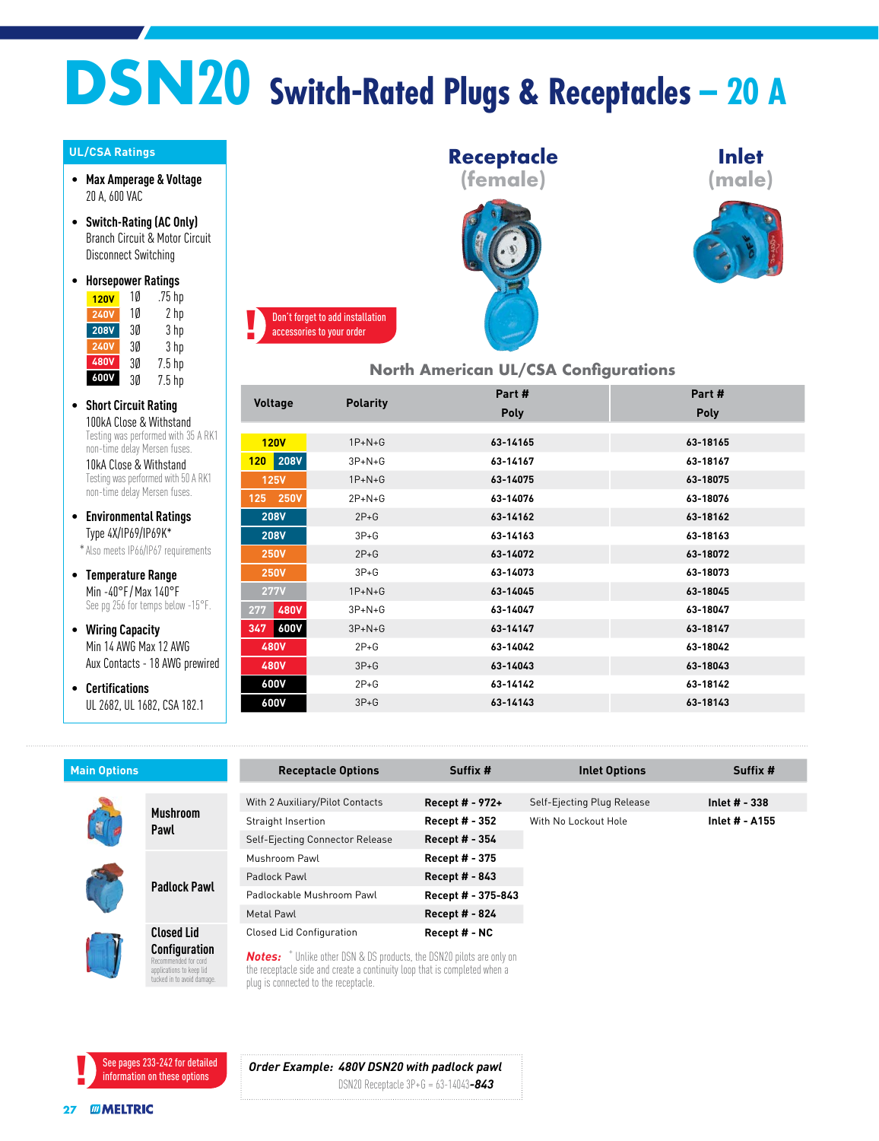## **DSN20 Switch-Rated Plugs & Receptacles – 20 A**

## **UL/CSA Ratings**

- **Max Amperage & Voltage** 20 A, 600 VAC
- **Switch-Rating (AC Only)** Branch Circuit & Motor Circuit Disconnect Switching
- **Horsepower Ratings**  $75$  hp  $120V$   $10$

| 1 ZU V      | ιv | . / J IIµ         |
|-------------|----|-------------------|
| <b>240V</b> | 10 | 2 hp              |
| <b>208V</b> | 3Ø | 3 hp              |
| <b>240V</b> | 3Ø | 3 hp              |
| <b>480V</b> | 3Ø | 7.5 <sub>hp</sub> |
| 600V        | 3Ø | $7.5$ hp          |

• **Short Circuit Rating** 100kA Close & Withstand Testing was performed with 35 A RK1 non-time delay Mersen fuses.

10kA Close & Withstand Testing was performed with 50 A RK1 non-time delay Mersen fuses.

• **Environmental Ratings** Type 4X/IP69/IP69K\*

\*Also meets IP66/IP67 requirements

- **Temperature Range** Min -40°F / Max 140°F See pg 256 for temps below -15°F.
- **Wiring Capacity** Min 14 AWG Max 12 AWG Aux Contacts - 18 AWG prewired
- **Certifications** UL 2682, UL 1682, CSA 182.1



## **North American UL/CSA Configurations**

**Inlet (male)**

| nom American or, son comigoranono |                 |          |          |  |  |
|-----------------------------------|-----------------|----------|----------|--|--|
| <b>Voltage</b>                    | <b>Polarity</b> | Part#    | Part#    |  |  |
|                                   |                 | Poly     | Poly     |  |  |
|                                   |                 |          |          |  |  |
| <b>120V</b>                       | $1P+N+G$        | 63-14165 | 63-18165 |  |  |
| <b>208V</b><br>120                | $3P+N+G$        | 63-14167 | 63-18167 |  |  |
| <b>125V</b>                       | $1P+N+G$        | 63-14075 | 63-18075 |  |  |
| 125 250V                          | $2P + N + G$    | 63-14076 | 63-18076 |  |  |
| <b>208V</b>                       | $2P+G$          | 63-14162 | 63-18162 |  |  |
| <b>208V</b>                       | $3P+G$          | 63-14163 | 63-18163 |  |  |
| <b>250V</b>                       | $2P+G$          | 63-14072 | 63-18072 |  |  |
| <b>250V</b>                       | $3P+G$          | 63-14073 | 63-18073 |  |  |
| <b>277V</b>                       | $1P+N+G$        | 63-14045 | 63-18045 |  |  |
| <b>480V</b><br>277                | $3P+N+G$        | 63-14047 | 63-18047 |  |  |
| <b>600V</b><br>347                | $3P+N+G$        | 63-14147 | 63-18147 |  |  |
| <b>480V</b>                       | $2P+G$          | 63-14042 | 63-18042 |  |  |
| <b>480V</b>                       | $3P+G$          | 63-14043 | 63-18043 |  |  |
| 600V                              | $2P+G$          | 63-14142 | 63-18142 |  |  |
| 600V                              | $3P+G$          | 63-14143 | 63-18143 |  |  |
|                                   |                 |          |          |  |  |

| <b>Main Options</b>                                                                                    |                         | <b>Receptacle Options</b>                                                                                                                                                                                    | Suffix #              | <b>Inlet Options</b>       | Suffix #        |
|--------------------------------------------------------------------------------------------------------|-------------------------|--------------------------------------------------------------------------------------------------------------------------------------------------------------------------------------------------------------|-----------------------|----------------------------|-----------------|
|                                                                                                        |                         |                                                                                                                                                                                                              |                       |                            |                 |
|                                                                                                        | <b>Mushroom</b><br>Pawl | With 2 Auxiliary/Pilot Contacts                                                                                                                                                                              | Recept # - 972+       | Self-Ejecting Plug Release | Inlet $# - 338$ |
|                                                                                                        |                         | Straight Insertion                                                                                                                                                                                           | Recept # - 352        | With No Lockout Hole       | Inlet # - A155  |
|                                                                                                        |                         | Self-Ejecting Connector Release                                                                                                                                                                              | Recept # - 354        |                            |                 |
|                                                                                                        | <b>Padlock Pawl</b>     | Mushroom Pawl                                                                                                                                                                                                | Recept # - 375        |                            |                 |
|                                                                                                        |                         | Padlock Pawl                                                                                                                                                                                                 | <b>Recept # - 843</b> |                            |                 |
|                                                                                                        |                         | Padlockable Mushroom Pawl                                                                                                                                                                                    | Recept # - 375-843    |                            |                 |
|                                                                                                        |                         | Metal Pawl                                                                                                                                                                                                   | <b>Recept # - 824</b> |                            |                 |
|                                                                                                        | <b>Closed Lid</b>       | Closed Lid Configuration                                                                                                                                                                                     | Recept # - NC         |                            |                 |
| <b>Configuration</b><br>Recommended for cord<br>applications to keep lid<br>tucked in to avoid damage. |                         | <b>Notes:</b> <sup>+</sup> Unlike other DSN & DS products, the DSN20 pilots are only on<br>the receptacle side and create a continuity loop that is completed when a<br>plug is connected to the receptacle. |                       |                            |                 |

plug is connected to the receptacle.

accessories to your order

See pages 233-242 for detailed information on these options

*Order Example: 480V DSN20 with padlock pawl* DSN20 Receptacle 3P+G = 63-14043*-843*